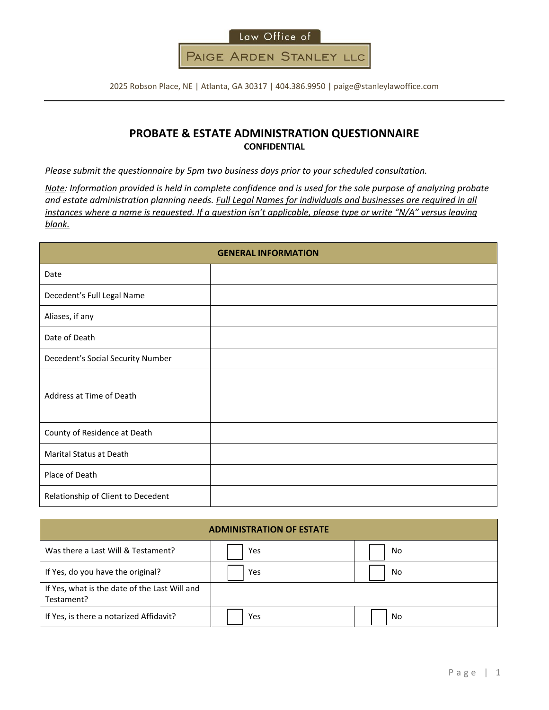

2025 Robson Place, NE | Atlanta, GA 30317 | 404.386.9950 | paige@stanleylawoffice.com

## **PROBATE & ESTATE ADMINISTRATION QUESTIONNAIRE CONFIDENTIAL**

*Please submit the questionnaire by 5pm two business days prior to your scheduled consultation.*

*Note: Information provided is held in complete confidence and is used for the sole purpose of analyzing probate and estate administration planning needs. Full Legal Names for individuals and businesses are required in all instances where a name is requested. If a question isn't applicable, please type or write "N/A" versus leaving blank.*

|                                    | <b>GENERAL INFORMATION</b> |
|------------------------------------|----------------------------|
| Date                               |                            |
| Decedent's Full Legal Name         |                            |
| Aliases, if any                    |                            |
| Date of Death                      |                            |
| Decedent's Social Security Number  |                            |
| Address at Time of Death           |                            |
| County of Residence at Death       |                            |
| Marital Status at Death            |                            |
| Place of Death                     |                            |
| Relationship of Client to Decedent |                            |

| <b>ADMINISTRATION OF ESTATE</b>                             |     |    |  |  |  |
|-------------------------------------------------------------|-----|----|--|--|--|
| Was there a Last Will & Testament?                          | Yes | No |  |  |  |
| If Yes, do you have the original?                           | Yes | No |  |  |  |
| If Yes, what is the date of the Last Will and<br>Testament? |     |    |  |  |  |
| If Yes, is there a notarized Affidavit?                     | Yes | No |  |  |  |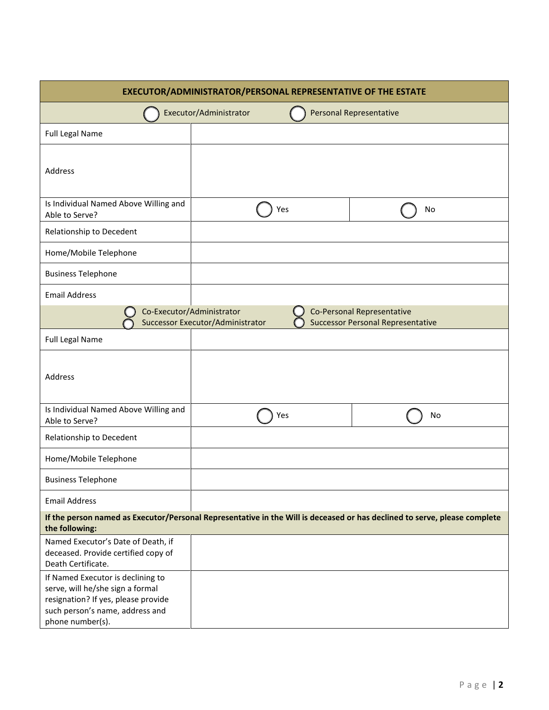| <b>EXECUTOR/ADMINISTRATOR/PERSONAL REPRESENTATIVE OF THE ESTATE</b>                                                                                                 |                                                               |                                |                                                                        |  |
|---------------------------------------------------------------------------------------------------------------------------------------------------------------------|---------------------------------------------------------------|--------------------------------|------------------------------------------------------------------------|--|
|                                                                                                                                                                     | Executor/Administrator                                        | <b>Personal Representative</b> |                                                                        |  |
| <b>Full Legal Name</b>                                                                                                                                              |                                                               |                                |                                                                        |  |
| Address                                                                                                                                                             |                                                               |                                |                                                                        |  |
| Is Individual Named Above Willing and<br>Able to Serve?                                                                                                             | Yes                                                           |                                | No                                                                     |  |
| Relationship to Decedent                                                                                                                                            |                                                               |                                |                                                                        |  |
| Home/Mobile Telephone                                                                                                                                               |                                                               |                                |                                                                        |  |
| <b>Business Telephone</b>                                                                                                                                           |                                                               |                                |                                                                        |  |
| <b>Email Address</b>                                                                                                                                                |                                                               |                                |                                                                        |  |
|                                                                                                                                                                     | Co-Executor/Administrator<br>Successor Executor/Administrator |                                | Co-Personal Representative<br><b>Successor Personal Representative</b> |  |
| <b>Full Legal Name</b>                                                                                                                                              |                                                               |                                |                                                                        |  |
| Address                                                                                                                                                             |                                                               |                                |                                                                        |  |
| Is Individual Named Above Willing and<br>Able to Serve?                                                                                                             | Yes                                                           |                                | No                                                                     |  |
| Relationship to Decedent                                                                                                                                            |                                                               |                                |                                                                        |  |
| Home/Mobile Telephone                                                                                                                                               |                                                               |                                |                                                                        |  |
| <b>Business Telephone</b>                                                                                                                                           |                                                               |                                |                                                                        |  |
| <b>Email Address</b>                                                                                                                                                |                                                               |                                |                                                                        |  |
| If the person named as Executor/Personal Representative in the Will is deceased or has declined to serve, please complete<br>the following:                         |                                                               |                                |                                                                        |  |
| Named Executor's Date of Death, if<br>deceased. Provide certified copy of<br>Death Certificate.                                                                     |                                                               |                                |                                                                        |  |
| If Named Executor is declining to<br>serve, will he/she sign a formal<br>resignation? If yes, please provide<br>such person's name, address and<br>phone number(s). |                                                               |                                |                                                                        |  |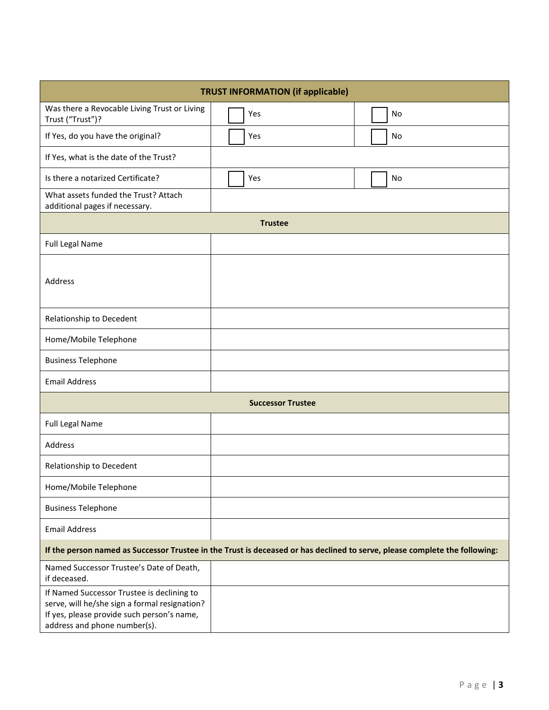| <b>TRUST INFORMATION (if applicable)</b>                                                                                                                                  |                                                                                                                            |  |  |  |
|---------------------------------------------------------------------------------------------------------------------------------------------------------------------------|----------------------------------------------------------------------------------------------------------------------------|--|--|--|
| Was there a Revocable Living Trust or Living<br>Trust ("Trust")?                                                                                                          | No<br>Yes                                                                                                                  |  |  |  |
| If Yes, do you have the original?                                                                                                                                         | Yes<br>No                                                                                                                  |  |  |  |
| If Yes, what is the date of the Trust?                                                                                                                                    |                                                                                                                            |  |  |  |
| Is there a notarized Certificate?                                                                                                                                         | Yes<br>No                                                                                                                  |  |  |  |
| What assets funded the Trust? Attach<br>additional pages if necessary.                                                                                                    |                                                                                                                            |  |  |  |
|                                                                                                                                                                           | <b>Trustee</b>                                                                                                             |  |  |  |
| <b>Full Legal Name</b>                                                                                                                                                    |                                                                                                                            |  |  |  |
| <b>Address</b>                                                                                                                                                            |                                                                                                                            |  |  |  |
| Relationship to Decedent                                                                                                                                                  |                                                                                                                            |  |  |  |
| Home/Mobile Telephone                                                                                                                                                     |                                                                                                                            |  |  |  |
| <b>Business Telephone</b>                                                                                                                                                 |                                                                                                                            |  |  |  |
| <b>Email Address</b>                                                                                                                                                      |                                                                                                                            |  |  |  |
|                                                                                                                                                                           | <b>Successor Trustee</b>                                                                                                   |  |  |  |
| <b>Full Legal Name</b>                                                                                                                                                    |                                                                                                                            |  |  |  |
| Address                                                                                                                                                                   |                                                                                                                            |  |  |  |
| Relationship to Decedent                                                                                                                                                  |                                                                                                                            |  |  |  |
| Home/Mobile Telephone                                                                                                                                                     |                                                                                                                            |  |  |  |
| <b>Business Telephone</b>                                                                                                                                                 |                                                                                                                            |  |  |  |
| <b>Email Address</b>                                                                                                                                                      |                                                                                                                            |  |  |  |
|                                                                                                                                                                           | If the person named as Successor Trustee in the Trust is deceased or has declined to serve, please complete the following: |  |  |  |
| Named Successor Trustee's Date of Death,<br>if deceased.                                                                                                                  |                                                                                                                            |  |  |  |
| If Named Successor Trustee is declining to<br>serve, will he/she sign a formal resignation?<br>If yes, please provide such person's name,<br>address and phone number(s). |                                                                                                                            |  |  |  |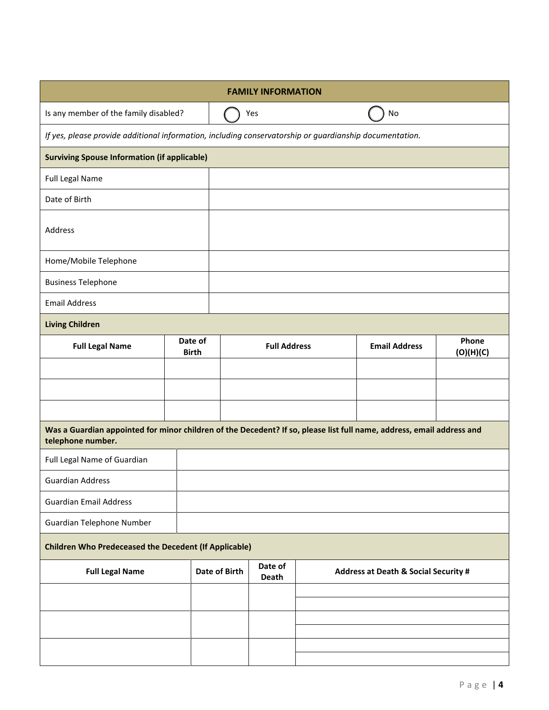| <b>FAMILY INFORMATION</b>             |                                                                                                                       |               |                     |  |                                                 |                    |
|---------------------------------------|-----------------------------------------------------------------------------------------------------------------------|---------------|---------------------|--|-------------------------------------------------|--------------------|
| Is any member of the family disabled? |                                                                                                                       |               | Yes                 |  | No                                              |                    |
|                                       | If yes, please provide additional information, including conservatorship or guardianship documentation.               |               |                     |  |                                                 |                    |
|                                       | <b>Surviving Spouse Information (if applicable)</b>                                                                   |               |                     |  |                                                 |                    |
| Full Legal Name                       |                                                                                                                       |               |                     |  |                                                 |                    |
| Date of Birth                         |                                                                                                                       |               |                     |  |                                                 |                    |
| Address                               |                                                                                                                       |               |                     |  |                                                 |                    |
| Home/Mobile Telephone                 |                                                                                                                       |               |                     |  |                                                 |                    |
| <b>Business Telephone</b>             |                                                                                                                       |               |                     |  |                                                 |                    |
| <b>Email Address</b>                  |                                                                                                                       |               |                     |  |                                                 |                    |
| <b>Living Children</b>                |                                                                                                                       |               |                     |  |                                                 |                    |
| <b>Full Legal Name</b>                | Date of<br><b>Birth</b>                                                                                               |               | <b>Full Address</b> |  | <b>Email Address</b>                            | Phone<br>(O)(H)(C) |
|                                       |                                                                                                                       |               |                     |  |                                                 |                    |
|                                       |                                                                                                                       |               |                     |  |                                                 |                    |
|                                       |                                                                                                                       |               |                     |  |                                                 |                    |
| telephone number.                     | Was a Guardian appointed for minor children of the Decedent? If so, please list full name, address, email address and |               |                     |  |                                                 |                    |
| Full Legal Name of Guardian           |                                                                                                                       |               |                     |  |                                                 |                    |
| <b>Guardian Address</b>               |                                                                                                                       |               |                     |  |                                                 |                    |
| <b>Guardian Email Address</b>         |                                                                                                                       |               |                     |  |                                                 |                    |
| Guardian Telephone Number             |                                                                                                                       |               |                     |  |                                                 |                    |
|                                       | <b>Children Who Predeceased the Decedent (If Applicable)</b>                                                          |               |                     |  |                                                 |                    |
| <b>Full Legal Name</b>                |                                                                                                                       | Date of Birth | Date of<br>Death    |  | <b>Address at Death &amp; Social Security #</b> |                    |
|                                       |                                                                                                                       |               |                     |  |                                                 |                    |
|                                       |                                                                                                                       |               |                     |  |                                                 |                    |
|                                       |                                                                                                                       |               |                     |  |                                                 |                    |
|                                       |                                                                                                                       |               |                     |  |                                                 |                    |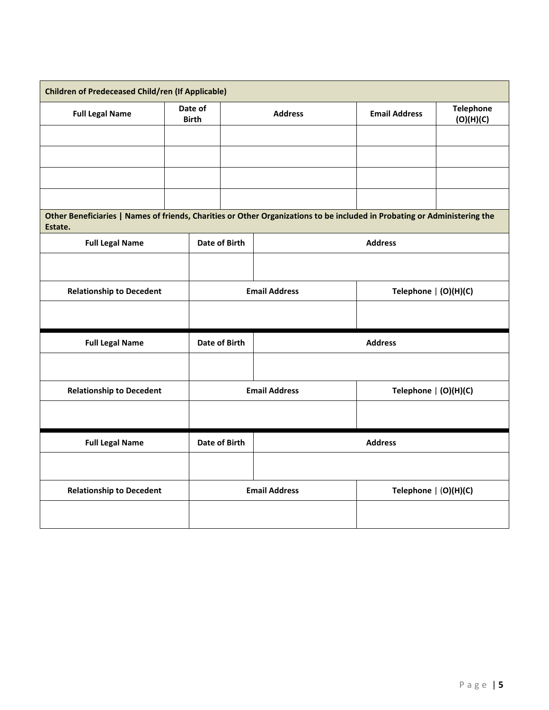| <b>Children of Predeceased Child/ren (If Applicable)</b>                                                                             |                         |               |                                               |                         |                               |
|--------------------------------------------------------------------------------------------------------------------------------------|-------------------------|---------------|-----------------------------------------------|-------------------------|-------------------------------|
| <b>Full Legal Name</b>                                                                                                               | Date of<br><b>Birth</b> |               | <b>Address</b>                                | <b>Email Address</b>    | <b>Telephone</b><br>(O)(H)(C) |
|                                                                                                                                      |                         |               |                                               |                         |                               |
|                                                                                                                                      |                         |               |                                               |                         |                               |
|                                                                                                                                      |                         |               |                                               |                         |                               |
|                                                                                                                                      |                         |               |                                               |                         |                               |
| Other Beneficiaries   Names of friends, Charities or Other Organizations to be included in Probating or Administering the<br>Estate. |                         |               |                                               |                         |                               |
| <b>Full Legal Name</b>                                                                                                               |                         | Date of Birth |                                               | <b>Address</b>          |                               |
|                                                                                                                                      |                         |               |                                               |                         |                               |
| <b>Relationship to Decedent</b>                                                                                                      |                         |               | <b>Email Address</b><br>Telephone   (O)(H)(C) |                         |                               |
|                                                                                                                                      |                         |               |                                               |                         |                               |
| <b>Full Legal Name</b>                                                                                                               |                         | Date of Birth |                                               | <b>Address</b>          |                               |
|                                                                                                                                      |                         |               |                                               |                         |                               |
| <b>Relationship to Decedent</b>                                                                                                      |                         |               | <b>Email Address</b><br>Telephone   (O)(H)(C) |                         |                               |
|                                                                                                                                      |                         |               |                                               |                         |                               |
| <b>Full Legal Name</b>                                                                                                               | Date of Birth           |               | <b>Address</b>                                |                         |                               |
|                                                                                                                                      |                         |               |                                               |                         |                               |
| <b>Relationship to Decedent</b>                                                                                                      |                         |               | <b>Email Address</b>                          | Telephone $  (O)(H)(C)$ |                               |
|                                                                                                                                      |                         |               |                                               |                         |                               |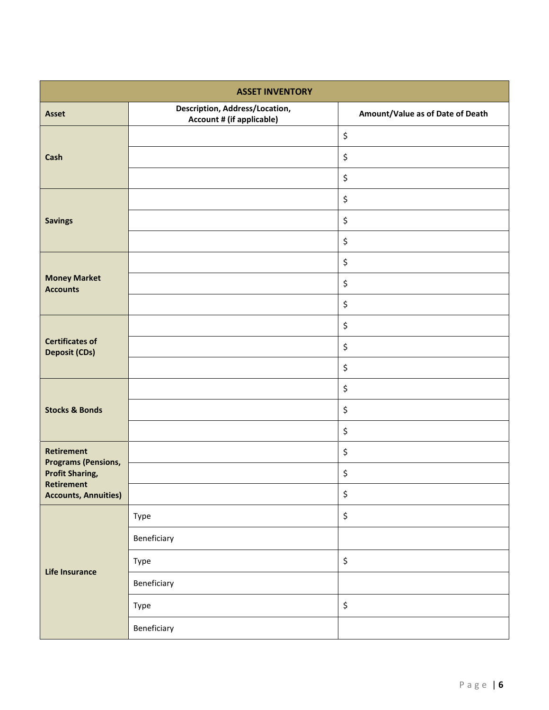| <b>ASSET INVENTORY</b>                          |                                                             |                                  |  |  |
|-------------------------------------------------|-------------------------------------------------------------|----------------------------------|--|--|
| <b>Asset</b>                                    | Description, Address/Location,<br>Account # (if applicable) | Amount/Value as of Date of Death |  |  |
|                                                 |                                                             | \$                               |  |  |
| Cash                                            |                                                             | \$                               |  |  |
|                                                 |                                                             | \$                               |  |  |
|                                                 |                                                             | \$                               |  |  |
| <b>Savings</b>                                  |                                                             | \$                               |  |  |
|                                                 |                                                             | \$                               |  |  |
|                                                 |                                                             | \$                               |  |  |
| <b>Money Market</b><br><b>Accounts</b>          |                                                             | \$                               |  |  |
|                                                 |                                                             | \$                               |  |  |
|                                                 |                                                             | \$                               |  |  |
| <b>Certificates of</b><br><b>Deposit (CDs)</b>  |                                                             | \$                               |  |  |
|                                                 |                                                             | \$                               |  |  |
|                                                 |                                                             | \$                               |  |  |
| <b>Stocks &amp; Bonds</b>                       |                                                             | \$                               |  |  |
|                                                 |                                                             | \$                               |  |  |
| <b>Retirement</b><br><b>Programs (Pensions,</b> |                                                             | \$                               |  |  |
| <b>Profit Sharing,</b><br><b>Retirement</b>     |                                                             | \$                               |  |  |
| <b>Accounts, Annuities)</b>                     |                                                             | \$                               |  |  |
|                                                 | Type                                                        | \$                               |  |  |
|                                                 | Beneficiary                                                 |                                  |  |  |
|                                                 | Type                                                        | \$                               |  |  |
| Life Insurance                                  | Beneficiary                                                 |                                  |  |  |
|                                                 | Type                                                        | \$                               |  |  |
|                                                 | Beneficiary                                                 |                                  |  |  |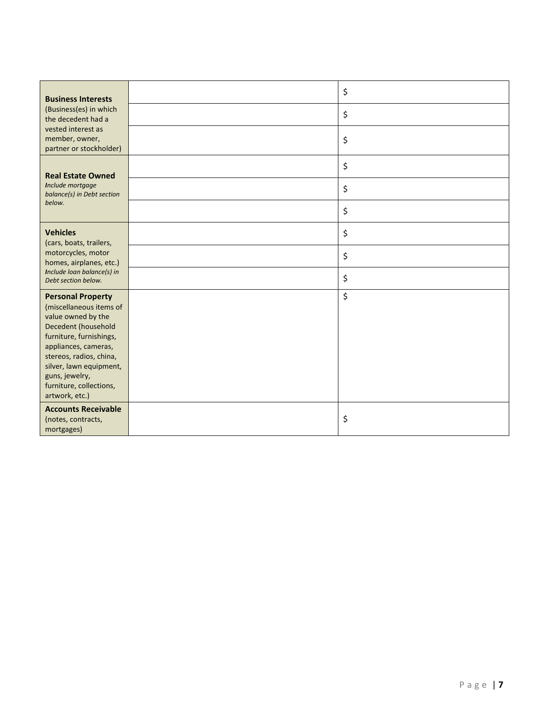| <b>Business Interests</b>                                                                                                                                                                                                                                                | \$ |
|--------------------------------------------------------------------------------------------------------------------------------------------------------------------------------------------------------------------------------------------------------------------------|----|
| (Business(es) in which<br>the decedent had a                                                                                                                                                                                                                             | \$ |
| vested interest as<br>member, owner,<br>partner or stockholder)                                                                                                                                                                                                          | \$ |
| <b>Real Estate Owned</b>                                                                                                                                                                                                                                                 | \$ |
| Include mortgage<br>balance(s) in Debt section                                                                                                                                                                                                                           | \$ |
| below.                                                                                                                                                                                                                                                                   | \$ |
| <b>Vehicles</b><br>(cars, boats, trailers,                                                                                                                                                                                                                               | \$ |
| motorcycles, motor<br>homes, airplanes, etc.)<br>Include loan balance(s) in<br>Debt section below.                                                                                                                                                                       | \$ |
|                                                                                                                                                                                                                                                                          | \$ |
| <b>Personal Property</b><br>(miscellaneous items of<br>value owned by the<br>Decedent (household<br>furniture, furnishings,<br>appliances, cameras,<br>stereos, radios, china,<br>silver, lawn equipment,<br>guns, jewelry,<br>furniture, collections,<br>artwork, etc.) | \$ |
| <b>Accounts Receivable</b><br>(notes, contracts,<br>mortgages)                                                                                                                                                                                                           | \$ |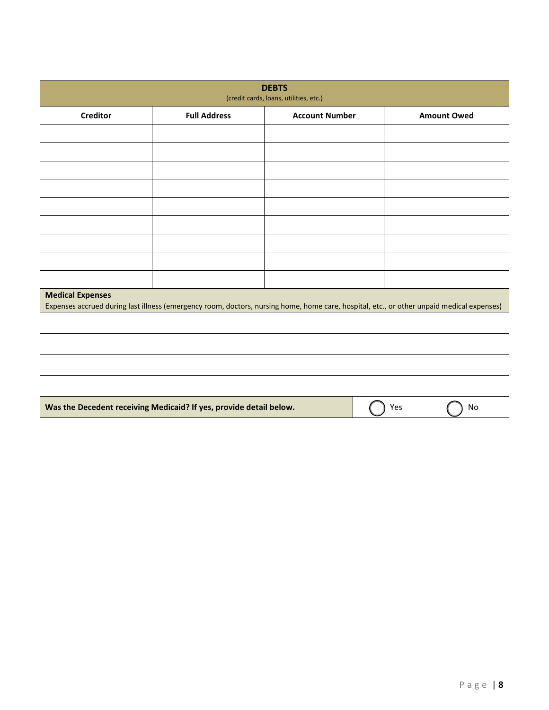| <b>DEBTS</b><br>(credit cards, loans, utilities, etc.)                                                                                                               |                                                                    |                       |     |                    |  |
|----------------------------------------------------------------------------------------------------------------------------------------------------------------------|--------------------------------------------------------------------|-----------------------|-----|--------------------|--|
| <b>Creditor</b>                                                                                                                                                      | <b>Full Address</b>                                                | <b>Account Number</b> |     | <b>Amount Owed</b> |  |
|                                                                                                                                                                      |                                                                    |                       |     |                    |  |
|                                                                                                                                                                      |                                                                    |                       |     |                    |  |
|                                                                                                                                                                      |                                                                    |                       |     |                    |  |
|                                                                                                                                                                      |                                                                    |                       |     |                    |  |
|                                                                                                                                                                      |                                                                    |                       |     |                    |  |
|                                                                                                                                                                      |                                                                    |                       |     |                    |  |
|                                                                                                                                                                      |                                                                    |                       |     |                    |  |
|                                                                                                                                                                      |                                                                    |                       |     |                    |  |
|                                                                                                                                                                      |                                                                    |                       |     |                    |  |
| <b>Medical Expenses</b><br>Expenses accrued during last illness (emergency room, doctors, nursing home, home care, hospital, etc., or other unpaid medical expenses) |                                                                    |                       |     |                    |  |
|                                                                                                                                                                      |                                                                    |                       |     |                    |  |
|                                                                                                                                                                      |                                                                    |                       |     |                    |  |
|                                                                                                                                                                      |                                                                    |                       |     |                    |  |
|                                                                                                                                                                      |                                                                    |                       |     |                    |  |
|                                                                                                                                                                      | Was the Decedent receiving Medicaid? If yes, provide detail below. |                       | Yes | No                 |  |
|                                                                                                                                                                      |                                                                    |                       |     |                    |  |
|                                                                                                                                                                      |                                                                    |                       |     |                    |  |
|                                                                                                                                                                      |                                                                    |                       |     |                    |  |
|                                                                                                                                                                      |                                                                    |                       |     |                    |  |
|                                                                                                                                                                      |                                                                    |                       |     |                    |  |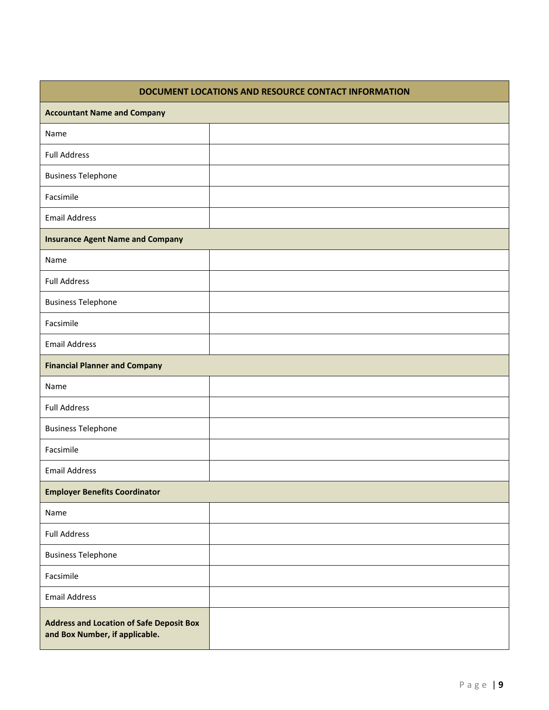| DOCUMENT LOCATIONS AND RESOURCE CONTACT INFORMATION                               |  |  |
|-----------------------------------------------------------------------------------|--|--|
| <b>Accountant Name and Company</b>                                                |  |  |
| Name                                                                              |  |  |
| <b>Full Address</b>                                                               |  |  |
| <b>Business Telephone</b>                                                         |  |  |
| Facsimile                                                                         |  |  |
| <b>Email Address</b>                                                              |  |  |
| <b>Insurance Agent Name and Company</b>                                           |  |  |
| Name                                                                              |  |  |
| <b>Full Address</b>                                                               |  |  |
| <b>Business Telephone</b>                                                         |  |  |
| Facsimile                                                                         |  |  |
| <b>Email Address</b>                                                              |  |  |
| <b>Financial Planner and Company</b>                                              |  |  |
| Name                                                                              |  |  |
| <b>Full Address</b>                                                               |  |  |
| <b>Business Telephone</b>                                                         |  |  |
| Facsimile                                                                         |  |  |
| <b>Email Address</b>                                                              |  |  |
| <b>Employer Benefits Coordinator</b>                                              |  |  |
| Name                                                                              |  |  |
| <b>Full Address</b>                                                               |  |  |
| <b>Business Telephone</b>                                                         |  |  |
| Facsimile                                                                         |  |  |
| <b>Email Address</b>                                                              |  |  |
| <b>Address and Location of Safe Deposit Box</b><br>and Box Number, if applicable. |  |  |